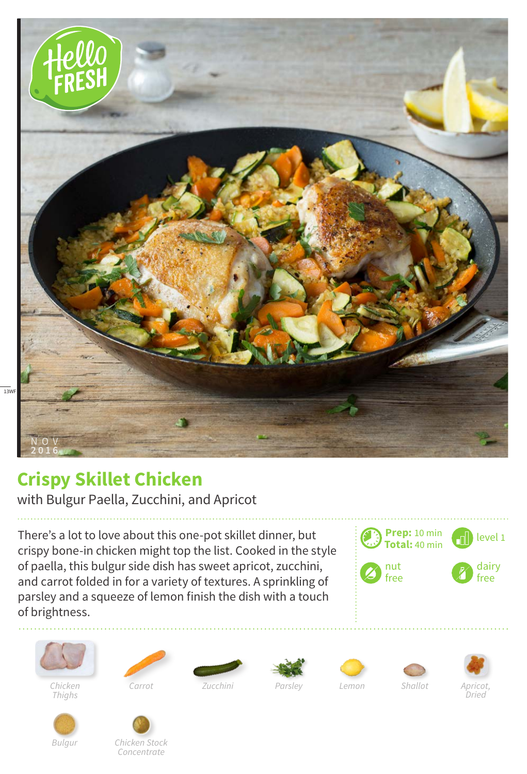

## **Crispy Skillet Chicken**

with Bulgur Paella, Zucchini, and Apricot

There's a lot to love about this one-pot skillet dinner, but crispy bone-in chicken might top the list. Cooked in the style of paella, this bulgur side dish has sweet apricot, zucchini, and carrot folded in for a variety of textures. A sprinkling of parsley and a squeeze of lemon finish the dish with a touch of brightness.





 $\frac{1}{13WF}$ 

*Chicken Thighs*











*Bulgur*



*Zucchini*